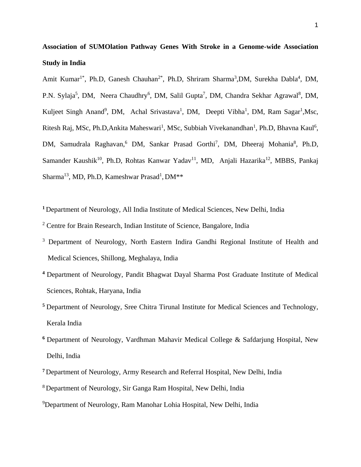**Association of SUMOlation Pathway Genes With Stroke in a Genome-wide Association Study in India**

Amit Kumar<sup>1\*</sup>, Ph.D, Ganesh Chauhan<sup>2\*</sup>, Ph.D, Shriram Sharma<sup>3</sup>,DM, Surekha Dabla<sup>4</sup>, DM, P.N. Sylaja<sup>5</sup>, DM, Neera Chaudhry<sup>6</sup>, DM, Salil Gupta<sup>7</sup>, DM, Chandra Sekhar Agrawal<sup>8</sup>, DM, Kuljeet Singh Anand<sup>9</sup>, DM, Achal Srivastava<sup>1</sup>, DM, Deepti Vibha<sup>1</sup>, DM, Ram Sagar<sup>1</sup>, Msc, Ritesh Raj, MSc, Ph.D, Ankita Maheswari<sup>1</sup>, MSc, Subbiah Vivekanandhan<sup>1</sup>, Ph.D, Bhavna Kaul<sup>6</sup>, DM, Samudrala Raghavan,<sup>6</sup> DM, Sankar Prasad Gorthi<sup>7</sup>, DM, Dheeraj Mohania<sup>8</sup>, Ph.D, Samander Kaushik<sup>10</sup>, Ph.D, Rohtas Kanwar Yadav<sup>11</sup>, MD, Anjali Hazarika<sup>12</sup>, MBBS, Pankaj Sharma<sup>13</sup>, MD, Ph.D, Kameshwar Prasad<sup>1</sup>, DM\*\*

**<sup>1</sup>**Department of Neurology, All India Institute of Medical Sciences, New Delhi, India

- <sup>2</sup> Centre for Brain Research, Indian Institute of Science, Bangalore, India
- <sup>3</sup> Department of Neurology, North Eastern Indira Gandhi Regional Institute of Health and Medical Sciences, Shillong, Meghalaya, India
- **<sup>4</sup>**Department of Neurology, Pandit Bhagwat Dayal Sharma Post Graduate Institute of Medical Sciences, Rohtak, Haryana, India
- **<sup>5</sup>**Department of Neurology, Sree Chitra Tirunal Institute for Medical Sciences and Technology, Kerala India
- <sup>6</sup> Department of Neurology, Vardhman Mahavir Medical College & Safdarjung Hospital, New Delhi, India
- **<sup>7</sup>**Department of Neurology, Army Research and Referral Hospital, New Delhi, India
- <sup>8</sup>Department of Neurology, Sir Ganga Ram Hospital, New Delhi, India
- <sup>9</sup>Department of Neurology, Ram Manohar Lohia Hospital, New Delhi, India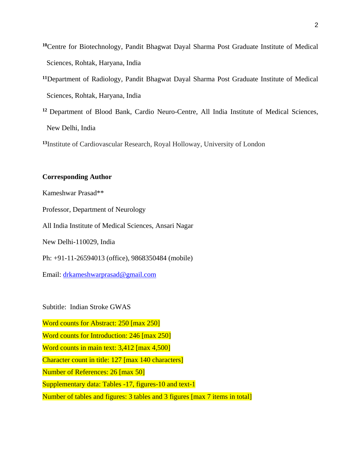- **<sup>10</sup>**Centre for Biotechnology, Pandit Bhagwat Dayal Sharma Post Graduate Institute of Medical Sciences, Rohtak, Haryana, India
- **<sup>11</sup>**Department of Radiology, Pandit Bhagwat Dayal Sharma Post Graduate Institute of Medical Sciences, Rohtak, Haryana, India
- **<sup>12</sup>** Department of Blood Bank, Cardio Neuro-Centre, All India Institute of Medical Sciences, New Delhi, India

**<sup>13</sup>**Institute of Cardiovascular Research, Royal Holloway, University of London

## **Corresponding Author**

Kameshwar Prasad\*\*

Professor, Department of Neurology

All India Institute of Medical Sciences, Ansari Nagar

New Delhi-110029, India

Ph: +91-11-26594013 (office), 9868350484 (mobile)

Email: [drkameshwarprasad@gmail.com](mailto:drkameshwarprasad@gmail.com)

Subtitle: Indian Stroke GWAS

Word counts for Abstract: 250 [max 250]

Word counts for Introduction: 246 [max 250]

Word counts in main text: 3,412 [max 4,500]

Character count in title: 127 [max 140 characters]

Number of References: 26 [max 50]

Supplementary data: Tables -17, figures-10 and text-1

Number of tables and figures: 3 tables and 3 figures [max 7 items in total]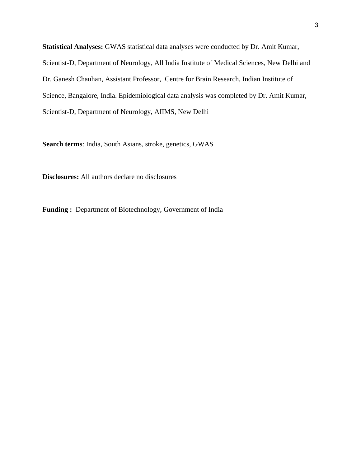**Statistical Analyses:** GWAS statistical data analyses were conducted by Dr. Amit Kumar, Scientist-D, Department of Neurology, All India Institute of Medical Sciences, New Delhi and Dr. Ganesh Chauhan, Assistant Professor, Centre for Brain Research, Indian Institute of Science, Bangalore, India. Epidemiological data analysis was completed by Dr. Amit Kumar, Scientist-D, Department of Neurology, AIIMS, New Delhi

**Search terms**: India, South Asians, stroke, genetics, GWAS

**Disclosures:** All authors declare no disclosures

**Funding :** Department of Biotechnology, Government of India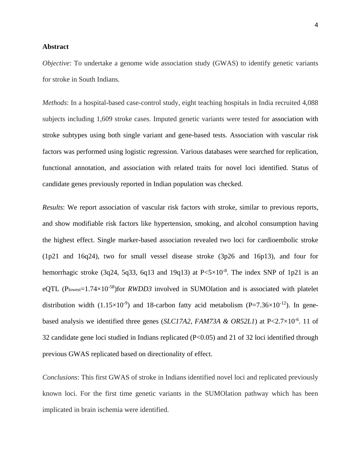## **Abstract**

*Objective*: To undertake a genome wide association study (GWAS) to identify genetic variants for stroke in South Indians.

*Methods*: In a hospital-based case-control study, eight teaching hospitals in India recruited 4,088 subjects including 1,609 stroke cases. Imputed genetic variants were tested for association with stroke subtypes using both single variant and gene-based tests. Association with vascular risk factors was performed using logistic regression. Various databases were searched for replication, functional annotation, and association with related traits for novel loci identified. Status of candidate genes previously reported in Indian population was checked.

*Results*: We report association of vascular risk factors with stroke, similar to previous reports, and show modifiable risk factors like hypertension, smoking, and alcohol consumption having the highest effect. Single marker-based association revealed two loci for cardioembolic stroke (1p21 and 16q24), two for small vessel disease stroke (3p26 and 16p13), and four for hemorrhagic stroke (3q24, 5q33, 6q13 and 19q13) at  $P \le 5 \times 10^{-8}$ . The index SNP of 1p21 is an eQTL (P<sub>lowest</sub>=1.74×10<sup>-58</sup>)for *RWDD3* involved in SUMOlation and is associated with platelet distribution width  $(1.15\times10^{-9})$  and 18-carbon fatty acid metabolism  $(P=7.36\times10^{-12})$ . In genebased analysis we identified three genes (*SLC17A2*, *FAM73A & OR52L1*) at P<2.7×10<sup>-6</sup>. 11 of 32 candidate gene loci studied in Indians replicated (P<0.05) and 21 of 32 loci identified through previous GWAS replicated based on directionality of effect.

*Conclusions*: This first GWAS of stroke in Indians identified novel loci and replicated previously known loci. For the first time genetic variants in the SUMOlation pathway which has been implicated in brain ischemia were identified.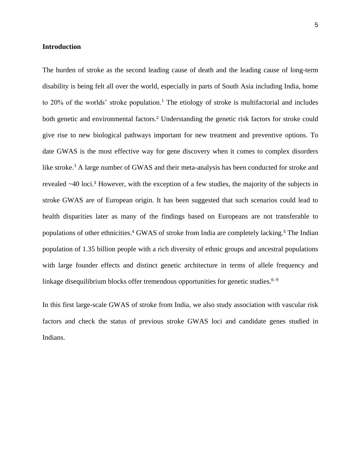## **Introduction**

The burden of stroke as the second leading cause of death and the leading cause of long-term disability is being felt all over the world, especially in parts of South Asia including India, home to  $20\%$  of the worlds' stroke population.<sup>1</sup> The etiology of stroke is multifactorial and includes both genetic and environmental factors.<sup>2</sup> Understanding the genetic risk factors for stroke could give rise to new biological pathways important for new treatment and preventive options. To date GWAS is the most effective way for gene discovery when it comes to complex disorders like stroke.<sup>3</sup> A large number of GWAS and their meta-analysis has been conducted for stroke and revealed ~40 loci.<sup>3</sup> However, with the exception of a few studies, the majority of the subjects in stroke GWAS are of European origin. It has been suggested that such scenarios could lead to health disparities later as many of the findings based on Europeans are not transferable to populations of other ethnicities.<sup>4</sup> GWAS of stroke from India are completely lacking.<sup>5</sup> The I[ndia](https://www.zotero.org/google-docs/?1OrK2J)n population of 1.35 billion people with a rich diversity of ethnic groups and ancestral populations with large founder effects and distinct genetic architecture in terms of allele frequency and linkage disequilibrium blocks offer tremendous opportunities for genetic studies.<sup> $6-9$ </sup>

In this first large-scale GWAS of stroke from India, we also study association with vascular risk factors and check the status of previous stroke GWAS loci and candidate genes studied in Indians.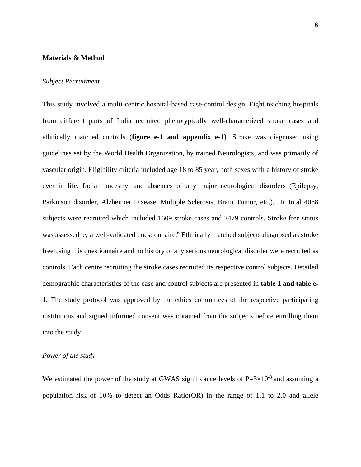#### **Materials & Method**

## *Subject Recruitment*

This study involved a multi-centric hospital-based case-control design. Eight teaching hospitals from different parts of India recruited phenotypically well-characterized stroke cases and ethnically matched controls (**figure e-1 and appendix e-1**). Stroke was diagnosed using guidelines set by the World Health Organization, by trained Neurologists, and was primarily of vascular origin. Eligibility criteria included age 18 to 85 year, both sexes with a history of stroke ever in life, Indian ancestry, and absences of any major neurological disorders (Epilepsy, Parkinson disorder, Alzheimer Disease, Multiple Sclerosis, Brain Tumor, etc.). In total 4088 subjects were recruited which included 1609 stroke cases and 2479 controls. Stroke free status was assessed by a well-validated questionnaire.<sup>[6](https://www.zotero.org/google-docs/?uL5rds)</sup> Ethnically matched subjects diagnosed as stroke free using this questionnaire and no history of any serious neurological disorder were recruited as controls. Each centre recruiting the stroke cases recruited its respective control subjects. Detailed demographic characteristics of the case and control subjects are presented in **table 1 and table e-1**. The study protocol was approved by the ethics committees of the respective participating institutions and signed informed consent was obtained from the subjects before enrolling them into the study.

#### *Power of the study*

We estimated the power of the study at GWAS significance levels of  $P=5\times10^{-8}$  and assuming a population risk of 10% to detect an Odds Ratio(OR) in the range of 1.1 to 2.0 and allele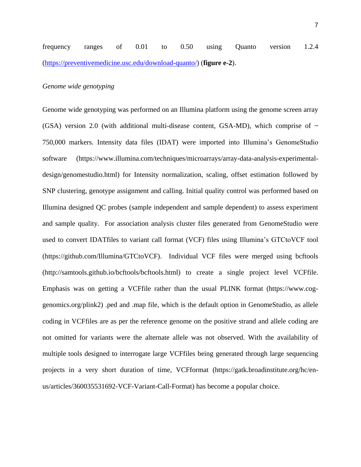frequency ranges of 0.01 to 0.50 using Quanto version 1.2.4 [\(https://preventivemedicine.usc.edu/download-quanto/\)](https://preventivemedicine.usc.edu/download-quanto/) (**figure e-2**).

#### *Genome wide genotyping*

Genome wide genotyping was performed on an Illumina platform using the genome screen array (GSA) version 2.0 (with additional multi-disease content, GSA-MD), which comprise of  $\sim$ 750,000 markers. Intensity data files (IDAT) were imported into Illumina's GenomeStudio software (https://www.illumina.com/techniques/microarrays/array-data-analysis-experimentaldesign/genomestudio.html) for Intensity normalization, scaling, offset estimation followed by SNP clustering, genotype assignment and calling. Initial quality control was performed based on Illumina designed QC probes (sample independent and sample dependent) to assess experiment and sample quality. For association analysis cluster files generated from GenomeStudio were used to convert IDATfiles to variant call format (VCF) files using Illumina's GTCtoVCF tool (https://github.com/Illumina/GTCtoVCF). Individual VCF files were merged using bcftools (http://samtools.github.io/bcftools/bcftools.html) to create a single project level VCFfile. Emphasis was on getting a VCFfile rather than the usual PLINK format (https://www.coggenomics.org/plink2) .ped and .map file, which is the default option in GenomeStudio, as allele coding in VCFfiles are as per the reference genome on the positive strand and allele coding are not omitted for variants were the alternate allele was not observed. With the availability of multiple tools designed to interrogate large VCFfiles being generated through large sequencing projects in a very short duration of time, VCFformat (https://gatk.broadinstitute.org/hc/enus/articles/360035531692-VCF-Variant-Call-Format) has become a popular choice.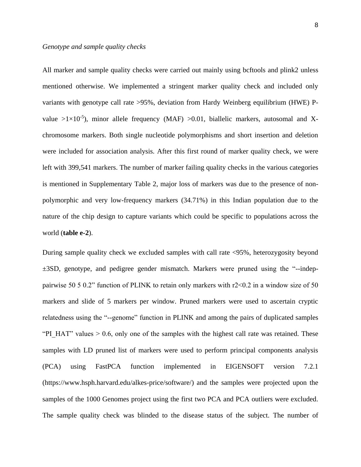All marker and sample quality checks were carried out mainly using bcftools and plink2 unless mentioned otherwise. We implemented a stringent marker quality check and included only variants with genotype call rate >95%, deviation from Hardy Weinberg equilibrium (HWE) Pvalue  $>1\times10^{-5}$ ), minor allele frequency (MAF)  $>0.01$ , biallelic markers, autosomal and Xchromosome markers. Both single nucleotide polymorphisms and short insertion and deletion were included for association analysis. After this first round of marker quality check, we were left with 399,541 markers. The number of marker failing quality checks in the various categories is mentioned in Supplementary Table 2, major loss of markers was due to the presence of nonpolymorphic and very low-frequency markers (34.71%) in this Indian population due to the nature of the chip design to capture variants which could be specific to populations across the world (**table e-2**).

During sample quality check we excluded samples with call rate <95%, heterozygosity beyond ±3SD, genotype, and pedigree gender mismatch. Markers were pruned using the "--indeppairwise 50 5 0.2" function of PLINK to retain only markers with r2<0.2 in a window size of 50 markers and slide of 5 markers per window. Pruned markers were used to ascertain cryptic relatedness using the "--genome" function in PLINK and among the pairs of duplicated samples "PI\_HAT" values  $> 0.6$ , only one of the samples with the highest call rate was retained. These samples with LD pruned list of markers were used to perform principal components analysis (PCA) using FastPCA function implemented in EIGENSOFT version 7.2.1 (https://www.hsph.harvard.edu/alkes-price/software/) and the samples were projected upon the samples of the 1000 Genomes project using the first two PCA and PCA outliers were excluded. The sample quality check was blinded to the disease status of the subject. The number of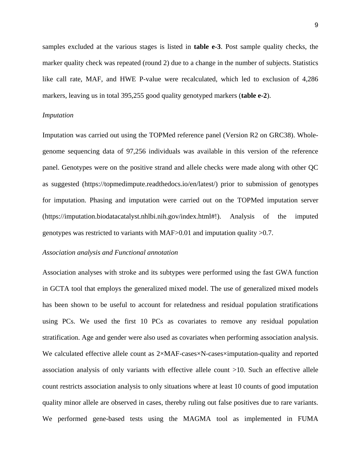samples excluded at the various stages is listed in **table e-3**. Post sample quality checks, the marker quality check was repeated (round 2) due to a change in the number of subjects. Statistics like call rate, MAF, and HWE P-value were recalculated, which led to exclusion of 4,286 markers, leaving us in total 395,255 good quality genotyped markers (**table e-2**).

#### *Imputation*

Imputation was carried out using the TOPMed reference panel (Version R2 on GRC38). Wholegenome sequencing data of 97,256 individuals was available in this version of the reference panel. Genotypes were on the positive strand and allele checks were made along with other QC as suggested (https://topmedimpute.readthedocs.io/en/latest/) prior to submission of genotypes for imputation. Phasing and imputation were carried out on the TOPMed imputation server [\(https://imputation.biodatacatalyst.nhlbi.nih.gov/index.html#!](https://imputation.biodatacatalyst.nhlbi.nih.gov/index.html)). Analysis of the imputed genotypes was restricted to variants with MAF>0.01 and imputation quality >0.7.

## *Association analysis and Functional annotation*

Association analyses with stroke and its subtypes were performed using the fast GWA function in GCTA tool that employs the generalized mixed model. The use of generalized mixed models has been shown to be useful to account for relatedness and residual population stratifications using PCs. We used the first 10 PCs as covariates to remove any residual population stratification. Age and gender were also used as covariates when performing association analysis. We calculated effective allele count as 2×MAF-cases×N-cases×imputation-quality and reported association analysis of only variants with effective allele count >10. Such an effective allele count restricts association analysis to only situations where at least 10 counts of good imputation quality minor allele are observed in cases, thereby ruling out false positives due to rare variants. We performed gene-based tests using the MAGMA tool as implemented in FUMA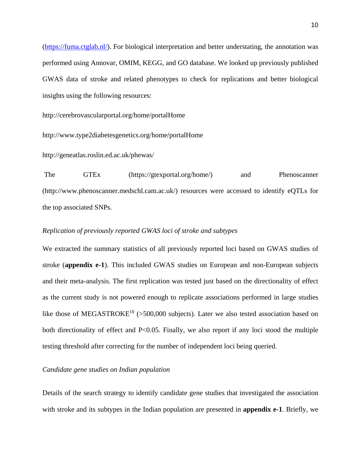[\(https://fuma.ctglab.nl/\)](https://fuma.ctglab.nl/). For biological interpretation and better understating, the annotation was performed using Annovar, OMIM, KEGG, and GO database. We looked up previously published GWAS data of stroke and related phenotypes to check for replications and better biological insights using the following resources:

http://cerebrovascularportal.org/home/portalHome

http://www.type2diabetesgenetics.org/home/portalHome

http://geneatlas.roslin.ed.ac.uk/phewas/

The GTEx [\(https://gtexportal.org/home/\)](https://gtexportal.org/home/) and Phenoscanner [\(http://www.phenoscanner.medschl.cam.ac.uk/\)](http://www.phenoscanner.medschl.cam.ac.uk/) resources were accessed to identify eQTLs for the top associated SNPs.

# *Replication of previously reported GWAS loci of stroke and subtypes*

We extracted the summary statistics of all previously reported loci based on GWAS studies of stroke (**appendix e-1**). This included GWAS studies on European and non-European subjects and their meta-analysis. The first replication was tested just based on the directionality of effect as the current study is not powered enough to replicate associations performed in large studies like those of MEGASTROKE<sup>10</sup> (>500,000 subjects). Later we also tested association based on both directionality of effect and P<0.05. Finally, we also report if any loci stood the multiple testing threshold after correcting for the number of independent loci being queried.

## *Candidate gene studies on Indian population*

Details of the search strategy to identify candidate gene studies that investigated the association with stroke and its subtypes in the Indian population are presented in **appendix e-1**. Briefly, we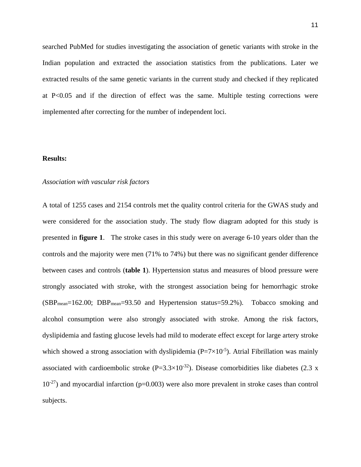searched PubMed for studies investigating the association of genetic variants with stroke in the Indian population and extracted the association statistics from the publications. Later we extracted results of the same genetic variants in the current study and checked if they replicated at P<0.05 and if the direction of effect was the same. Multiple testing corrections were implemented after correcting for the number of independent loci.

#### **Results:**

## *Association with vascular risk factors*

A total of 1255 cases and 2154 controls met the quality control criteria for the GWAS study and were considered for the association study. The study flow diagram adopted for this study is presented in **figure 1**. The stroke cases in this study were on average 6-10 years older than the controls and the majority were men (71% to 74%) but there was no significant gender difference between cases and controls (**table 1**). Hypertension status and measures of blood pressure were strongly associated with stroke, with the strongest association being for hemorrhagic stroke (SBPmean=162.00; DBPmean=93.50 and Hypertension status=59.2%). Tobacco smoking and alcohol consumption were also strongly associated with stroke. Among the risk factors, dyslipidemia and fasting glucose levels had mild to moderate effect except for large artery stroke which showed a strong association with dyslipidemia ( $P = 7 \times 10^{-5}$ ). Atrial Fibrillation was mainly associated with cardioembolic stroke  $(P=3.3\times10^{-32})$ . Disease comorbidities like diabetes (2.3 x  $10^{-27}$ ) and myocardial infarction (p=0.003) were also more prevalent in stroke cases than control subjects.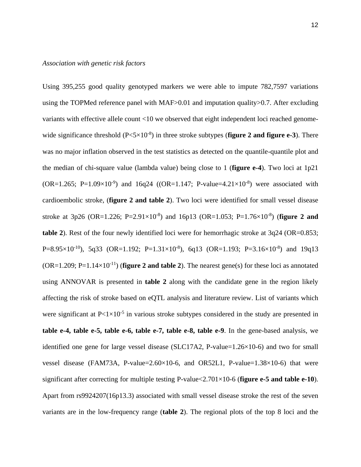Using 395,255 good quality genotyped markers we were able to impute 782,7597 variations using the TOPMed reference panel with MAF>0.01 and imputation quality>0.7. After excluding variants with effective allele count <10 we observed that eight independent loci reached genomewide significance threshold  $(P < 5 \times 10^{-8})$  in three stroke subtypes (**figure 2 and figure e-3**). There was no major inflation observed in the test statistics as detected on the quantile-quantile plot and the median of chi-square value (lambda value) being close to 1 (**figure e-4**). Two loci at 1p21 (OR=1.265; P=1.09×10<sup>-9</sup>) and 16q24 ((OR=1.147; P-value=4.21×10<sup>-8</sup>) were associated with cardioembolic stroke, (**figure 2 and table 2**). Two loci were identified for small vessel disease stroke at 3p26 (OR=1.226; P=2.91 $\times$ 10<sup>-8</sup>) and 16p13 (OR=1.053; P=1.76 $\times$ 10<sup>-8</sup>) (**figure 2 and table 2**). Rest of the four newly identified loci were for hemorrhagic stroke at 3q24 (OR=0.853; P=8.95×10<sup>-10</sup>), 5q33 (OR=1.192; P=1.31×10<sup>-8</sup>), 6q13 (OR=1.193; P=3.16×10<sup>-8</sup>) and 19q13  $(OR=1.209; P=1.14\times10^{-11})$  (**figure 2 and table 2**). The nearest gene(s) for these loci as annotated using ANNOVAR is presented in **table 2** along with the candidate gene in the region likely affecting the risk of stroke based on eQTL analysis and literature review. List of variants which were significant at  $P < 1 \times 10^{-5}$  in various stroke subtypes considered in the study are presented in **table e-4, table e-5, table e-6, table e-7, table e-8, table e-9**. In the gene-based analysis, we identified one gene for large vessel disease (SLC17A2, P-value=1.26×10-6) and two for small vessel disease (FAM73A, P-value=2.60×10-6, and OR52L1, P-value=1.38×10-6) that were significant after correcting for multiple testing P-value<2.701×10-6 (**figure e-5 and table e-10**). Apart from rs9924207(16p13.3) associated with small vessel disease stroke the rest of the seven variants are in the low-frequency range (**table 2**). The regional plots of the top 8 loci and the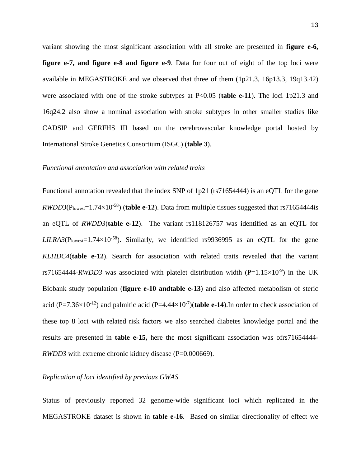variant showing the most significant association with all stroke are presented in **figure e-6, figure e-7, and figure e-8 and figure e-9**. Data for four out of eight of the top loci were available in MEGASTROKE and we observed that three of them (1p21.3, 16p13.3, 19q13.42) were associated with one of the stroke subtypes at P<0.05 (**table e-11**). The loci 1p21.3 and 16q24.2 also show a nominal association with stroke subtypes in other smaller studies like CADSIP and GERFHS III based on the cerebrovascular knowledge portal hosted by International Stroke Genetics Consortium (ISGC) (**table 3**).

#### *Functional annotation and association with related traits*

Functional annotation revealed that the index SNP of 1p21 (rs71654444) is an eQTL for the gene  $RWDD3(P_{\text{lowest}}=1.74\times10^{-58})$  (**table e-12**). Data from multiple tissues suggested that rs71654444is an eQTL of *RWDD3*(**table e-12**). The variant rs118126757 was identified as an eQTL for  $LILRA3(P_{lowest}=1.74\times10^{-58})$ . Similarly, we identified rs9936995 as an eQTL for the gene *KLHDC4*(**table e-12**). Search for association with related traits revealed that the variant rs71654444-*RWDD3* was associated with platelet distribution width  $(P=1.15\times10^{-9})$  in the UK Biobank study population (**figure e-10 andtable e-13**) and also affected metabolism of steric acid (P=7.36 $\times$ 10<sup>-12</sup>) and palmitic acid (P=4.44 $\times$ 10<sup>-7</sup>)(**table e-14**). In order to check association of these top 8 loci with related risk factors we also searched diabetes knowledge portal and the results are presented in **table e-15,** here the most significant association was ofrs71654444- *RWDD3* with extreme chronic kidney disease (P=0.000669).

## *Replication of loci identified by previous GWAS*

Status of previously reported 32 genome-wide significant loci which replicated in the MEGASTROKE dataset is shown in **table e-16**. Based on similar directionality of effect we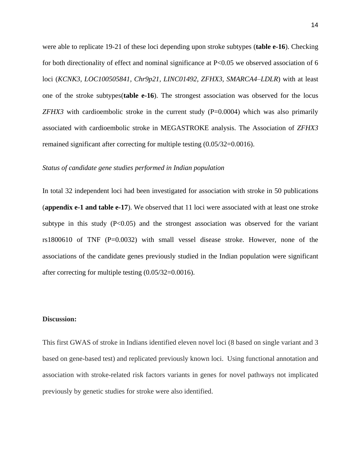were able to replicate 19-21 of these loci depending upon stroke subtypes (**table e-16**). Checking for both directionality of effect and nominal significance at P<0.05 we observed association of 6 loci (*KCNK3, LOC100505841, Chr9p21, LINC01492, ZFHX3, SMARCA4–LDLR*) with at least one of the stroke subtypes(**table e-16**). The strongest association was observed for the locus *ZFHX3* with cardioembolic stroke in the current study  $(P=0.0004)$  which was also primarily associated with cardioembolic stroke in MEGASTROKE analysis. The Association of *ZFHX3* remained significant after correcting for multiple testing (0.05/32=0.0016).

#### *Status of candidate gene studies performed in Indian population*

In total 32 independent loci had been investigated for association with stroke in 50 publications (**appendix e-1 and table e-17**). We observed that 11 loci were associated with at least one stroke subtype in this study  $(P<0.05)$  and the strongest association was observed for the variant rs1800610 of TNF (P=0.0032) with small vessel disease stroke. However, none of the associations of the candidate genes previously studied in the Indian population were significant after correcting for multiple testing (0.05/32=0.0016).

#### **Discussion:**

This first GWAS of stroke in Indians identified eleven novel loci (8 based on single variant and 3 based on gene-based test) and replicated previously known loci. Using functional annotation and association with stroke-related risk factors variants in genes for novel pathways not implicated previously by genetic studies for stroke were also identified.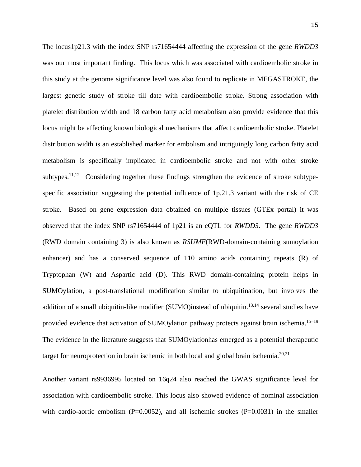The locus1p21.3 with the index SNP rs71654444 affecting the expression of the gene *RWDD3* was our most important finding. This locus which was associated with cardioembolic stroke in this study at the genome significance level was also found to replicate in MEGASTROKE, the largest genetic study of stroke till date with cardioembolic stroke. Strong association with platelet distribution width and 18 carbon fatty acid metabolism also provide evidence that this locus might be affecting known biological mechanisms that affect cardioembolic stroke. Platelet distribution width is an established marker for embolism and intriguingly long carbon fatty acid metabolism is specifically implicated in cardioembolic stroke and not with other stroke subtypes.<sup>11,12</sup> Considering together these findings strengthen the evidence of stroke subtypespecific association suggesting the potential influence of 1p.21.3 variant with the risk of CE stroke. Based on gene expression data obtained on multiple tissues (GTEx portal) it was observed that the index SNP rs71654444 of 1p21 is an eQTL for *RWDD3*. The gene *RWDD3* (RWD domain containing 3) is also known as *RSUME*(RWD-domain-containing sumoylation enhancer) and has a conserved sequence of 110 amino acids containing repeats (R) of Tryptophan (W) and Aspartic acid (D). This RWD domain-containing protein helps in SUMOylation, a post-translational modification similar to ubiquitination, but involves the addition of a small ubiquitin-like modifier (SUMO)instead of ubiquitin.<sup>13,14</sup> several studies have provided evidence that activation of SUMOylation pathway protects against brain ischemia.<sup>15–19</sup> The evidence in the literature suggests that SUMOylationhas emerged as a potential therapeutic target for neuroprotection in brain ischemic in both local and global brain ischemia.<sup>20,21</sup>

Another variant rs9936995 located on 16q24 also reached the GWAS significance level for association with cardioembolic stroke. This locus also showed evidence of nominal association with cardio-aortic embolism  $(P=0.0052)$ , and all ischemic strokes  $(P=0.0031)$  in the smaller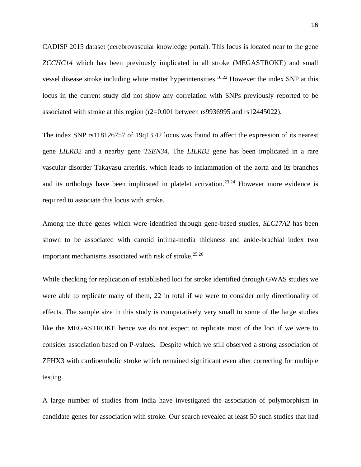CADISP 2015 dataset (cerebrovascular knowledge portal). This locus is located near to the gene *ZCCHC14* which has been previously implicated in all stroke (MEGASTROKE) and small vessel disease stroke including white matter hyperintensities.<sup>10,22</sup> However the index SNP at this locus in the current study did not show any correlation with SNPs previously reported to be associated with stroke at this region (r2=0.001 between rs9936995 and rs12445022).

The index SNP rs118126757 of 19q13.42 locus was found to affect the expression of its nearest gene *LILRB2* and a nearby gene *TSEN34*. The *LILRB2* gene has been implicated in a rare vascular disorder Takayasu arteritis, which leads to inflammation of the aorta and its branches and its orthologs have been implicated in platelet activation.<sup>23,24</sup> However more evidence is required to associate this locus with stroke.

Among the three genes which were identified through gene-based studies, *SLC17A2* has been shown to be associated with carotid intima-media thickness and ankle-brachial index two important mechanisms associated with risk of stroke. $25,26$ 

While checking for replication of established loci for stroke identified through GWAS studies we were able to replicate many of them, 22 in total if we were to consider only directionality of effects. The sample size in this study is comparatively very small to some of the large studies like the MEGASTROKE hence we do not expect to replicate most of the loci if we were to consider association based on P-values. Despite which we still observed a strong association of ZFHX3 with cardioembolic stroke which remained significant even after correcting for multiple testing.

A large number of studies from India have investigated the association of polymorphism in candidate genes for association with stroke. Our search revealed at least 50 such studies that had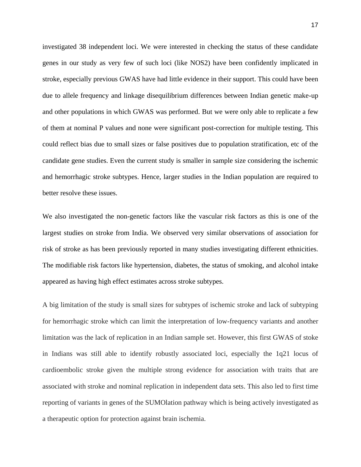investigated 38 independent loci. We were interested in checking the status of these candidate genes in our study as very few of such loci (like NOS2) have been confidently implicated in stroke, especially previous GWAS have had little evidence in their support. This could have been due to allele frequency and linkage disequilibrium differences between Indian genetic make-up and other populations in which GWAS was performed. But we were only able to replicate a few of them at nominal P values and none were significant post-correction for multiple testing. This could reflect bias due to small sizes or false positives due to population stratification, etc of the candidate gene studies. Even the current study is smaller in sample size considering the ischemic and hemorrhagic stroke subtypes. Hence, larger studies in the Indian population are required to better resolve these issues.

We also investigated the non-genetic factors like the vascular risk factors as this is one of the largest studies on stroke from India. We observed very similar observations of association for risk of stroke as has been previously reported in many studies investigating different ethnicities. The modifiable risk factors like hypertension, diabetes, the status of smoking, and alcohol intake appeared as having high effect estimates across stroke subtypes.

A big limitation of the study is small sizes for subtypes of ischemic stroke and lack of subtyping for hemorrhagic stroke which can limit the interpretation of low-frequency variants and another limitation was the lack of replication in an Indian sample set. However, this first GWAS of stoke in Indians was still able to identify robustly associated loci, especially the 1q21 locus of cardioembolic stroke given the multiple strong evidence for association with traits that are associated with stroke and nominal replication in independent data sets. This also led to first time reporting of variants in genes of the SUMOlation pathway which is being actively investigated as a therapeutic option for protection against brain ischemia.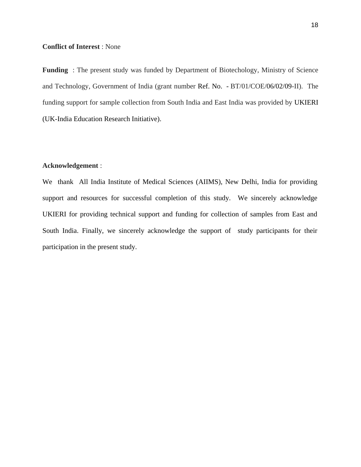# **Conflict of Interest** : None

**Funding** : The present study was funded by Department of Biotechology, Ministry of Science and Technology, Government of India (grant number Ref. No. - BT/01/COE/06/02/09-II). The funding support for sample collection from South India and East India was provided by UKIERI (UK-India Education Research Initiative).

# **Acknowledgement** :

We thank All India Institute of Medical Sciences (AIIMS), New Delhi, India for providing support and resources for successful completion of this study. We sincerely acknowledge UKIERI for providing technical support and funding for collection of samples from East and South India. Finally, we sincerely acknowledge the support of study participants for their participation in the present study.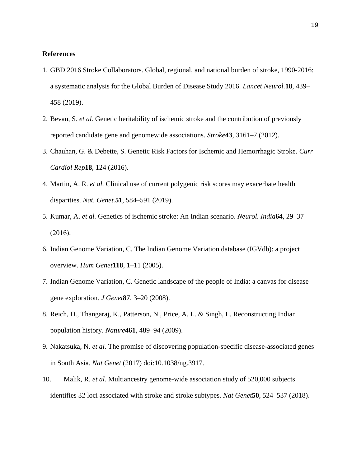## **References**

- 1. GBD 2016 Stroke Collaborators. Global, regional, and national burden of stroke, 1990-2016: a systematic analysis for the Global Burden of Disease Study 2016. *Lancet Neurol.***18**, 439– 458 (2019).
- 2. Bevan, S. *et al.* Genetic heritability of ischemic stroke and the contribution of previously reported candidate gene and genomewide associations. *Stroke***43**, 3161–7 (2012).
- 3. Chauhan, G. & Debette, S. Genetic Risk Factors for Ischemic and Hemorrhagic Stroke. *Curr Cardiol Rep***18**, 124 (2016).
- 4. Martin, A. R. *et al.* Clinical use of current polygenic risk scores may exacerbate health disparities. *Nat. Genet.***51**, 584–591 (2019).
- 5. Kumar, A. *et al.* Genetics of ischemic stroke: An Indian scenario. *Neurol. India***64**, 29–37 (2016).
- 6. Indian Genome Variation, C. The Indian Genome Variation database (IGVdb): a project overview. *Hum Genet***118**, 1–11 (2005).
- 7. Indian Genome Variation, C. Genetic landscape of the people of India: a canvas for disease gene exploration. *J Genet***87**, 3–20 (2008).
- 8. Reich, D., Thangaraj, K., Patterson, N., Price, A. L. & Singh, L. Reconstructing Indian population history. *Nature***461**, 489–94 (2009).
- 9. Nakatsuka, N. *et al.* The promise of discovering population-specific disease-associated genes in South Asia. *Nat Genet* (2017) doi:10.1038/ng.3917.
- 10. Malik, R. *et al.* Multiancestry genome-wide association study of 520,000 subjects identifies 32 loci associated with stroke and stroke subtypes. *Nat Genet***50**, 524–537 (2018).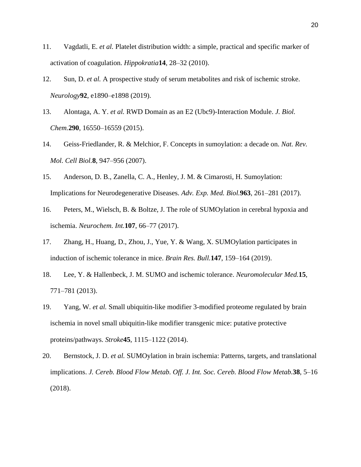- 11. Vagdatli, E. *et al.* Platelet distribution width: a simple, practical and specific marker of activation of coagulation. *Hippokratia***14**, 28–32 (2010).
- 12. Sun, D. *et al.* A prospective study of serum metabolites and risk of ischemic stroke. *Neurology***92**, e1890–e1898 (2019).
- 13. Alontaga, A. Y. *et al.* RWD Domain as an E2 (Ubc9)-Interaction Module. *J. Biol. Chem.***290**, 16550–16559 (2015).
- 14. Geiss-Friedlander, R. & Melchior, F. Concepts in sumoylation: a decade on. *Nat. Rev. Mol. Cell Biol.***8**, 947–956 (2007).
- 15. Anderson, D. B., Zanella, C. A., Henley, J. M. & Cimarosti, H. Sumoylation: Implications for Neurodegenerative Diseases. *Adv. Exp. Med. Biol.***963**, 261–281 (2017).
- 16. Peters, M., Wielsch, B. & Boltze, J. The role of SUMOylation in cerebral hypoxia and ischemia. *Neurochem. Int.***107**, 66–77 (2017).
- 17. Zhang, H., Huang, D., Zhou, J., Yue, Y. & Wang, X. SUMOylation participates in induction of ischemic tolerance in mice. *Brain Res. Bull.***147**, 159–164 (2019).
- 18. Lee, Y. & Hallenbeck, J. M. SUMO and ischemic tolerance. *Neuromolecular Med.***15**, 771–781 (2013).
- 19. Yang, W. *et al.* Small ubiquitin-like modifier 3-modified proteome regulated by brain ischemia in novel small ubiquitin-like modifier transgenic mice: putative protective proteins/pathways. *Stroke***45**, 1115–1122 (2014).
- 20. Bernstock, J. D. *et al.* SUMOylation in brain ischemia: Patterns, targets, and translational implications. *J. Cereb. Blood Flow Metab. Off. J. Int. Soc. Cereb. Blood Flow Metab.***38**, 5–16 (2018).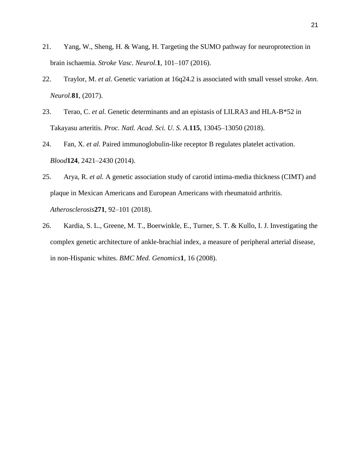- 21. Yang, W., Sheng, H. & Wang, H. Targeting the SUMO pathway for neuroprotection in brain ischaemia. *Stroke Vasc. Neurol.***1**, 101–107 (2016).
- 22. Traylor, M. *et al.* Genetic variation at 16q24.2 is associated with small vessel stroke. *Ann. Neurol.***81**, (2017).
- 23. Terao, C. *et al.* Genetic determinants and an epistasis of LILRA3 and HLA-B\*52 in Takayasu arteritis. *Proc. Natl. Acad. Sci. U. S. A.***115**, 13045–13050 (2018).
- 24. Fan, X. *et al.* Paired immunoglobulin-like receptor B regulates platelet activation. *Blood***124**, 2421–2430 (2014).
- 25. Arya, R. *et al.* A genetic association study of carotid intima-media thickness (CIMT) and plaque in Mexican Americans and European Americans with rheumatoid arthritis. *Atherosclerosis***271**, 92–101 (2018).
- 26. Kardia, S. L., Greene, M. T., Boerwinkle, E., Turner, S. T. & Kullo, I. J. Investigating the complex genetic architecture of ankle-brachial index, a measure of peripheral arterial disease, in non-Hispanic whites. *BMC Med. Genomics***1**, 16 (2008).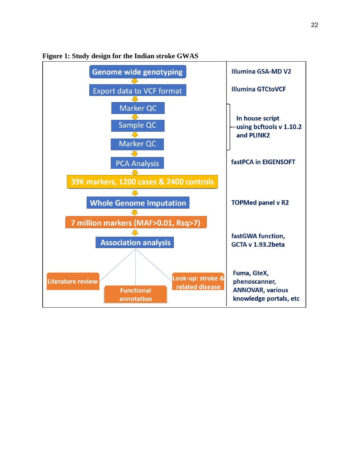

**Figure 1: Study design for the Indian stroke GWAS**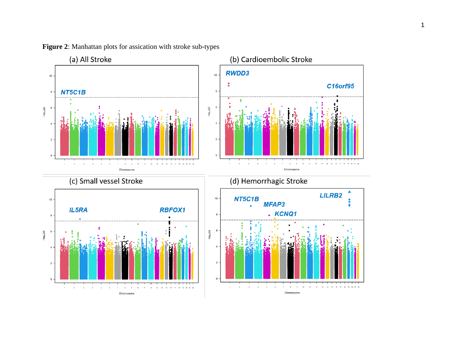





(c) Small vessel Stroke



(d) Hemorrhagic Stroke

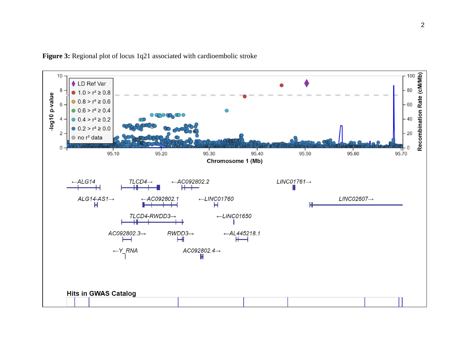

Figure 3: Regional plot of locus 1q21 associated with cardioembolic stroke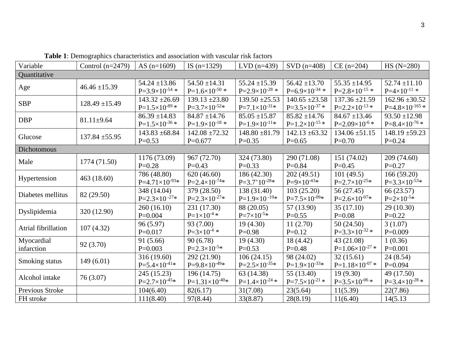| Variable            | Control $(n=2479)$ | AS $(n=1609)$           | IS $(n=1329)$           | $LVD$ (n=439)           | $SVD$ (n=408)           | $CE (n=204)$                                                                                                                                                                                                        | $HS (N=280)$             |  |
|---------------------|--------------------|-------------------------|-------------------------|-------------------------|-------------------------|---------------------------------------------------------------------------------------------------------------------------------------------------------------------------------------------------------------------|--------------------------|--|
| Quantitative        |                    |                         |                         |                         |                         |                                                                                                                                                                                                                     |                          |  |
|                     | $46.46 \pm 15.39$  | $54.24 \pm 13.86$       | $54.50 \pm 14.31$       | $55.24 \pm 15.39$       | $56.42 \pm 13.70$       | $55.35 \pm 14.95$                                                                                                                                                                                                   | $52.74 \pm 11.10$        |  |
| Age                 |                    | $P=3.9\times10^{-54}$ * | $P=1.6\times10^{-50}$ * | $P=2.9\times10^{-28}$ * | $P=6.9\times10^{-34}$ * | $P=2.8\times10^{-15}$ *                                                                                                                                                                                             | $P=4\times10^{-11}$ *    |  |
| <b>SBP</b>          | $128.49 \pm 15.49$ | $143.32 \pm 26.69$      | $139.13 \pm 23.80$      | $139.50 \pm 25.53$      | $140.65 \pm 23.58$      | $137.36 \pm 21.59$                                                                                                                                                                                                  | $162.96 \pm 30.52$       |  |
|                     |                    | $P=1.5\times10^{-89}$ * | $P=3.7\times10^{-52}*$  | $P=7.1\times10^{-31*}$  | $P=3.5\times10^{-37}$ * |                                                                                                                                                                                                                     | $P=4.8\times10^{-165}$ * |  |
| <b>DBP</b>          | $81.11 \pm 9.64$   | $86.39 \pm 14.83$       | $84.87 \pm 14.76$       | $85.05 \pm 15.87$       | $85.82 \pm 14.76$       | $84.67 \pm 13.46$                                                                                                                                                                                                   | $93.50 \pm 12.98$        |  |
|                     |                    | $P=1.5\times10^{-36}*$  | $P=1.9\times10^{-18}$ * | $P=1.9\times10^{-11*}$  | $P=1.2\times10^{-15}$ * |                                                                                                                                                                                                                     | $P=8.4\times10^{-76}*$   |  |
| Glucose             | $137.84 \pm 55.95$ | $143.83 \pm 68.84$      | $142.08 \pm 72.32$      | $148.80 \pm 81.79$      | $142.13 \pm 63.32$      | $134.06 \pm 51.15$                                                                                                                                                                                                  | $148.19 \pm 59.23$       |  |
|                     |                    | $P=0.53$                | $P=0.677$               | $P=0.35$                | $P=0.65$                | $P=0.70$                                                                                                                                                                                                            | $P=0.24$                 |  |
| Dichotomous         |                    |                         |                         |                         |                         |                                                                                                                                                                                                                     |                          |  |
| Male                | 1774 (71.50)       | 1176 (73.09)            | 967 (72.70)             | 324 (73.80)             | 290 (71.08)             | 151 (74.02)                                                                                                                                                                                                         | 209 (74.60)              |  |
|                     |                    | $P=0.28$                | $P=0.43$                | $P=0.33$                | $P=0.84$                | $P=0.45$                                                                                                                                                                                                            | $P = 0.27$               |  |
| Hypertension        | 463(18.60)         | 786 (48.80)             | 620(46.60)              | 186 (42.30)             | 202 (49.51)             | 101(49.5)                                                                                                                                                                                                           | 166(59.20)               |  |
|                     |                    | $P=4.71\times10^{-93*}$ | $P=2.4\times10^{-74}*$  | $P=3.7\times10^{-28}*$  | $P=9\times10^{-43*}$    |                                                                                                                                                                                                                     | $P=3.3\times10^{-53*}$   |  |
| Diabetes mellitus   | 82 (29.50)         | 348 (14.04)             | 379 (28.50)             | 138 (31.40)             | 103(25.20)              | 56 (27.45)                                                                                                                                                                                                          | 66 (23.57)               |  |
|                     |                    | $P=2.3\times10^{-27}*$  | $P=2.3\times10^{-27}*$  | $P=1.9\times10^{-19*}$  | $P=7.5\times10^{-09*}$  | $P=2.7\times10^{-25*}$<br>$P=2.6\times10^{-07}*$<br>35(17.10)<br>$P=0.08$                                                                                                                                           | $P = 2 \times 10^{-5*}$  |  |
| Dyslipidemia        | 320 (12.90)        | 260(16.10)              | 231 (17.30)             | 88 (20.05)              | 57 (13.90)              |                                                                                                                                                                                                                     | 29(10.30)                |  |
|                     |                    | $P=0.004$               | $P=1\times10^{-4}$ *    | $P = 7 \times 10^{-5*}$ | $P=0.55$                | $P=2.2\times10^{-13}$ *<br>$P=2.09\times10^{-6*}$<br>50(24.50)<br>$P=3.3\times10^{-32}$ *<br>43 (21.08)<br>$P=1.06\times10^{-27}$ *<br>32(15.61)<br>$P=1.18\times10^{-07}$ *<br>19(9.30)<br>$P=3.5\times10^{-06}$ * | $P=0.22$                 |  |
| Atrial fibrillation | 107(4.32)          | 96 (5.97)               | 93 (7.00)               | 19 (4.30)               | 11(2.70)                |                                                                                                                                                                                                                     | 3(1.07)                  |  |
|                     |                    | $P=0.017$               | $P=3\times10^{-4}$ *    | $P=0.98$                | $P=0.12$                |                                                                                                                                                                                                                     | $P=0.009$                |  |
| Myocardial          | 92 (3.70)          | 91 (5.66)               | 90(6.78)                | 19 (4.30)               | 18 (4.42)               |                                                                                                                                                                                                                     | 1(0.36)                  |  |
| infarction          |                    | $P=0.003$               | $P=2.3\times10^{-5*}$   | $P=0.53$                | $P=0.48$                |                                                                                                                                                                                                                     | $P=0.001$                |  |
|                     | 149(6.01)          | 316 (19.60)             | 292 (21.90)             | 106(24.15)              | 98 (24.02)              |                                                                                                                                                                                                                     | 24(8.54)                 |  |
| Smoking status      |                    | $P=5.4\times10^{-41*}$  | $P=9.8\times10^{-49*}$  | $P=2.5\times10^{-35*}$  | $P=1.9\times10^{-33*}$  |                                                                                                                                                                                                                     | $P=0.094$                |  |
|                     | 76 (3.07)          | 245 (15.23)             | 196 (14.75)             | 63 (14.38)              | 55 (13.40)              |                                                                                                                                                                                                                     | 49 (17.50)               |  |
| Alcohol intake      |                    | $P=2.7\times10^{-45*}$  | $P=1.31\times10^{-40*}$ | $P=1.4\times10^{-24}$ * | $P=7.5\times10^{-21}$ * |                                                                                                                                                                                                                     | $P=3.4\times10^{-28}$ *  |  |
| Previous Stroke     |                    | 104(6.40)               | 82(6.17)                | 31(7.08)                | 23(5.64)                | 11(5.39)                                                                                                                                                                                                            | 22(7.86)                 |  |
| FH stroke           |                    | 111(8.40)               | 97(8.44)                | 33(8.87)                | 28(8.19)                | 11(6.40)                                                                                                                                                                                                            | 14(5.13)                 |  |

**Table 1**: Demographics characteristics and association with vascular risk factors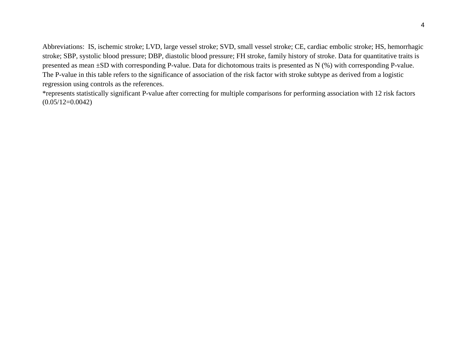Abbreviations: IS, ischemic stroke; LVD, large vessel stroke; SVD, small vessel stroke; CE, cardiac embolic stroke; HS, hemorrhagic stroke; SBP, systolic blood pressure; DBP, diastolic blood pressure; FH stroke, family history of stroke. Data for quantitative traits is presented as mean ±SD with corresponding P-value. Data for dichotomous traits is presented as N (%) with corresponding P-value. The P-value in this table refers to the significance of association of the risk factor with stroke subtype as derived from a logistic regression using controls as the references.

\*represents statistically significant P-value after correcting for multiple comparisons for performing association with 12 risk factors  $(0.05/12=0.0042)$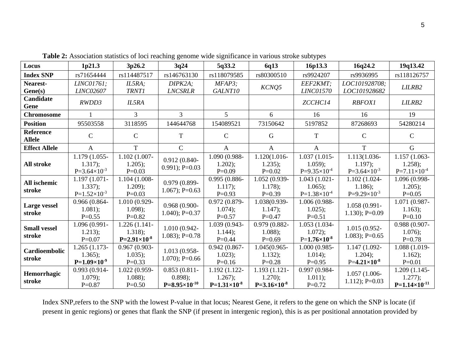| Locus                             | 1p21.3                                              | 3p26.2                                                | 3q24                                                   | 5q33.2                                              | 6q13                                                      | 16p13.3                                               | 16q24.2                                             | 19q13.42                                              |
|-----------------------------------|-----------------------------------------------------|-------------------------------------------------------|--------------------------------------------------------|-----------------------------------------------------|-----------------------------------------------------------|-------------------------------------------------------|-----------------------------------------------------|-------------------------------------------------------|
| <b>Index SNP</b>                  | rs71654444                                          | rs114487517                                           | rs146763130                                            | rs118079585                                         | rs80300510                                                | rs9924207                                             | rs9936995                                           | rs118126757                                           |
| Nearest-<br>Gene(s)               | LINC01761;<br><b>LINC02607</b>                      | IL5RA;<br><b>TRNT1</b>                                | DIPK2A;<br><b>LNCSRLR</b>                              | $MFAP3$ :<br>GALNT10                                | KCNQ5                                                     | EEF2KMT;<br>LINC01570                                 | LOC101928708;<br>LOC101928682                       | LILRB2                                                |
| Candidate<br>Gene                 | RWDD3                                               | IL5RA                                                 |                                                        |                                                     |                                                           | ZCCHC14                                               | <b>RBFOX1</b>                                       | LILRB2                                                |
| <b>Chromosome</b>                 |                                                     | 3                                                     | 3                                                      | 5                                                   | 6                                                         | 16                                                    | 16                                                  | 19                                                    |
| <b>Position</b>                   | 95503558                                            | 3118595                                               | 144644768                                              | 154089521                                           | 73150642                                                  | 5197852                                               | 87268693                                            | 54280214                                              |
| <b>Reference</b><br><b>Allele</b> | $\mathcal{C}$                                       | $\mathcal{C}$                                         | T                                                      | $\mathcal{C}$                                       | G                                                         | T                                                     | $\mathsf{C}$                                        | $\mathcal{C}$                                         |
| <b>Effect Allele</b>              | A                                                   | T                                                     | $\mathcal{C}$                                          | $\mathsf{A}$                                        | $\mathbf{A}$                                              | $\mathbf{A}$                                          | T                                                   | G                                                     |
| <b>All stroke</b>                 | 1.179 (1.055-<br>1.317);<br>$P=3.64\times10^{-3}$   | $1.102(1.007 -$<br>$1.205$ ;<br>$P=0.03$              | $0.912(0.840 -$<br>$0.991$ ; P= $0.03$                 | 1.090 (0.988-<br>$1.202$ ;<br>$P=0.09$              | 1.120(1.016-<br>$1.235$ ;<br>$P=0.02$                     | 1.037 (1.015-<br>$1.059$ ;<br>$P=9.35\times10^{-4}$   | 1.113(1.036-<br>$1.197$ ;<br>$P=3.64\times10^{-3}$  | $1.157(1.063 -$<br>$1.258$ ;<br>$P=7.11\times10^{-4}$ |
| All ischemic<br>stroke            | 1.197 (1.071-<br>$1.337$ ;<br>$P=1.52\times10^{-3}$ | 1.104 (1.008-<br>$1.209$ ;<br>$P=0.03$                | $0.979(0.899 -$<br>$1.067$ ; P=0.63                    | 0.995 (0.886-<br>$1.117$ ;<br>$P=0.93$              | 1.052 (0.939-<br>$1.178$ ;<br>$P=0.39$                    | $1.043(1.021 -$<br>$1.065$ ;<br>$P=1.38\times10^{-4}$ | 1.102 (1.024-<br>$1.186$ ;<br>$P=9.29\times10^{-3}$ | 1.096 (0.998-<br>$1.205$ ;<br>$P=0.05$                |
| <b>Large vessel</b><br>stroke     | $0.966(0.864 -$<br>1.081);<br>$P=0.55$              | 1.010 (0.929-<br>$1.098$ ;<br>$P=0.82$                | $0.968(0.900 -$<br>$1.040$ ; P=0.37                    | $0.972(0.879 -$<br>$1.074$ ;<br>$P=0.57$            | 1.038(0.939-<br>$1.147$ ;<br>$P=0.47$                     | 1.006 (0.988-<br>$1.025$ ;<br>$P=0.51$                | 1.058 (0.991-<br>$1.130$ ; P=0.09                   | 1.071 (0.987-<br>$1.163$ ;<br>$P=0.10$                |
| <b>Small vessel</b><br>stroke     | 1.096 (0.991-<br>1.213);<br>$P=0.07$                | $1.226(1.141 -$<br>$1.318$ ;<br>$P=2.91\times10^{-8}$ | 1.010 (0.942-<br>$1.083$ ; P=0.78                      | 1.039 (0.943-<br>$1.144$ ;<br>$P=0.44$              | 0.979 (0.882-<br>$1.088$ ;<br>$P=0.69$                    | 1.053 (1.034-<br>$1.072$ ;<br>$P=1.76\times10^{-8}$   | $1.015(0.952 -$<br>$1.083$ ; P=0.65                 | $0.988(0.907 -$<br>$1.076$ ;<br>$P=0.78$              |
| Cardioembolic<br>stroke           | 1.265 (1.173-<br>$1.365$ ;<br>$P=1.09\times10^{-9}$ | $0.967(0.903 -$<br>$1.035$ ;<br>$P=0.33$              | 1.013 (0.958-<br>$1.070$ ; P=0.66                      | $0.942(0.867 -$<br>$1.023$ ;<br>$P=0.16$            | $1.045(0.965 -$<br>$1.132$ ;<br>$P=0.28$                  | 1.000 (0.985-<br>$1.014$ ;<br>$P=0.95$                | 1.147 (1.092-<br>$1.204$ ;<br>$P=4.21\times10^{-8}$ | 1.088 (1.019-<br>$1.162$ ;<br>$P=0.01$                |
| Hemorrhagic<br>stroke             | 0.993 (0.914-<br>$1.079$ ;<br>$P=0.87$              | 1.022 (0.959-<br>$1.088$ ;<br>$P=0.50$                | $0.853(0.811 -$<br>$0.898$ :<br>$P=8.95\times10^{-10}$ | 1.192 (1.122-<br>$1.267$ ;<br>$P=1.31\times10^{-8}$ | $1.193(1.121 -$<br>$1.270$ ;<br>$P = 3.16 \times 10^{-8}$ | 0.997 (0.984-<br>$1.011$ ;<br>$P=0.72$                | $1.057(1.006 -$<br>$1.112$ ; P=0.03                 | 1.209 (1.145-<br>$1.277$ ;<br>$P=1.14\times10^{-11}$  |

**Table 2:** Association statistics of loci reaching genome wide significance in various stroke subtypes

Index SNP,refers to the SNP with the lowest P-value in that locus; Nearest Gene, it refers to the gene on which the SNP is locate (if present in genic regions) or genes that flank the SNP (if present in intergenic region), this is as per positional annotation provided by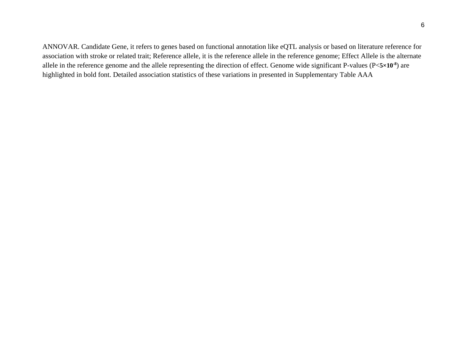ANNOVAR. Candidate Gene, it refers to genes based on functional annotation like eQTL analysis or based on literature reference for association with stroke or related trait; Reference allele, it is the reference allele in the reference genome; Effect Allele is the alternate allele in the reference genome and the allele representing the direction of effect. Genome wide significant P-values (P<**5×10-8** ) are highlighted in bold font. Detailed association statistics of these variations in presented in Supplementary Table AAA